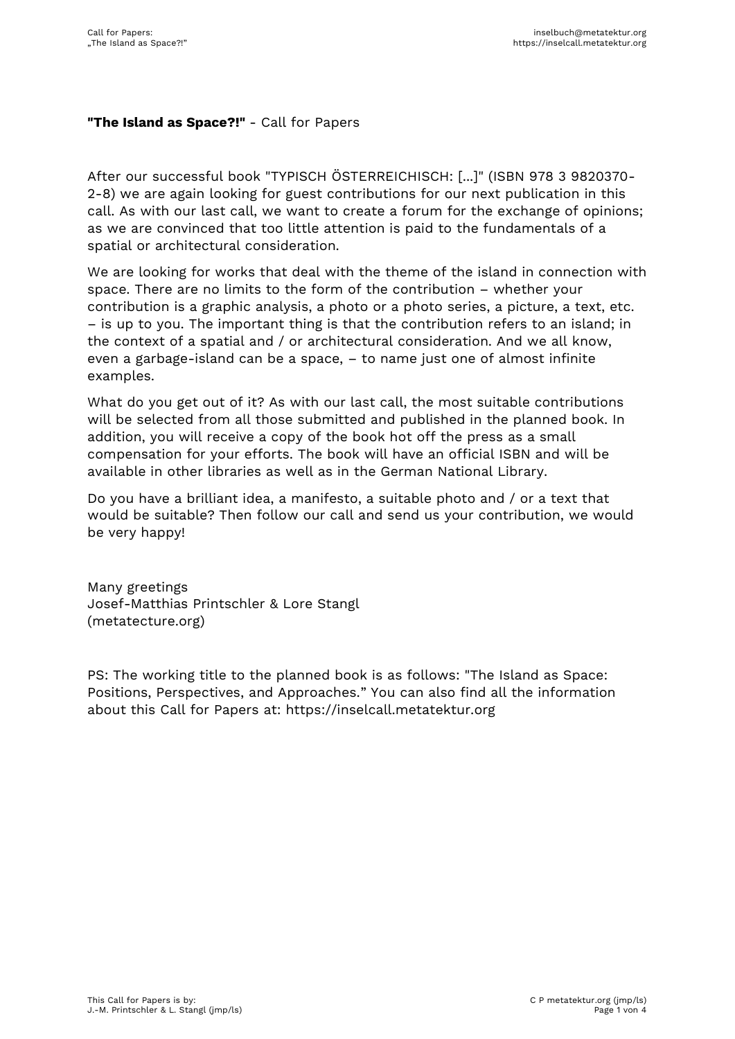## **"The Island as Space?!"** - Call for Papers

After our successful book "TYPISCH ÖSTERREICHISCH: [...]" (ISBN 978 3 9820370- 2-8) we are again looking for guest contributions for our next publication in this call. As with our last call, we want to create a forum for the exchange of opinions; as we are convinced that too little attention is paid to the fundamentals of a spatial or architectural consideration.

We are looking for works that deal with the theme of the island in connection with space. There are no limits to the form of the contribution – whether your contribution is a graphic analysis, a photo or a photo series, a picture, a text, etc. – is up to you. The important thing is that the contribution refers to an island; in the context of a spatial and / or architectural consideration. And we all know, even a garbage-island can be a space, – to name just one of almost infinite examples.

What do you get out of it? As with our last call, the most suitable contributions will be selected from all those submitted and published in the planned book. In addition, you will receive a copy of the book hot off the press as a small compensation for your efforts. The book will have an official ISBN and will be available in other libraries as well as in the German National Library.

Do you have a brilliant idea, a manifesto, a suitable photo and / or a text that would be suitable? Then follow our call and send us your contribution, we would be very happy!

Many greetings Josef-Matthias Printschler & Lore Stangl (metatecture.org)

PS: The working title to the planned book is as follows: "The Island as Space: Positions, Perspectives, and Approaches." You can also find all the information about this Call for Papers at: https://inselcall.metatektur.org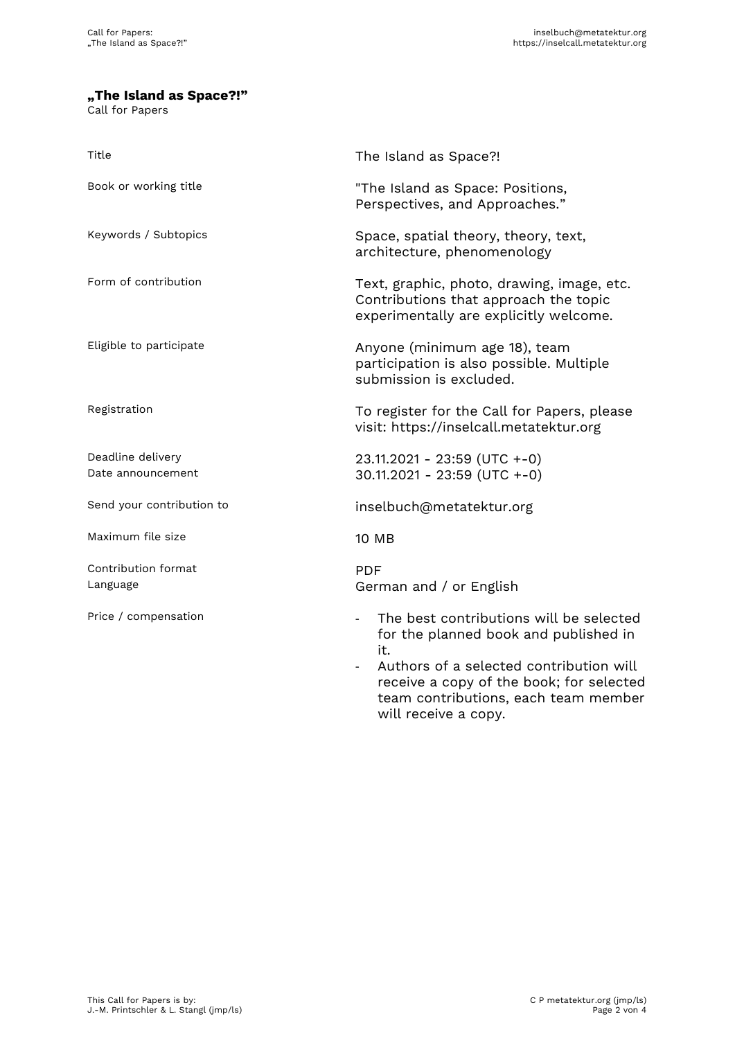## **"The Island as Space?!"**

Call for Papers

| Title                                  | The Island as Space?!                                                                                                                                          |
|----------------------------------------|----------------------------------------------------------------------------------------------------------------------------------------------------------------|
| Book or working title                  | "The Island as Space: Positions,<br>Perspectives, and Approaches."                                                                                             |
| Keywords / Subtopics                   | Space, spatial theory, theory, text,<br>architecture, phenomenology                                                                                            |
| Form of contribution                   | Text, graphic, photo, drawing, image, etc.<br>Contributions that approach the topic<br>experimentally are explicitly welcome.                                  |
| Eligible to participate                | Anyone (minimum age 18), team<br>participation is also possible. Multiple<br>submission is excluded.                                                           |
| Registration                           | To register for the Call for Papers, please<br>visit: https://inselcall.metatektur.org                                                                         |
| Deadline delivery<br>Date announcement | 23.11.2021 - 23:59 (UTC +-0)<br>$30.11.2021 - 23:59$ (UTC +-0)                                                                                                 |
| Send your contribution to              | inselbuch@metatektur.org                                                                                                                                       |
| Maximum file size                      | 10 MB                                                                                                                                                          |
| Contribution format<br>Language        | <b>PDF</b><br>German and / or English                                                                                                                          |
| Price / compensation                   | The best contributions will be selected<br>$\overline{\phantom{a}}$<br>for the planned book and published in<br>it.<br>Authors of a selected contribution will |

receive a copy of the book; for selected team contributions, each team member will receive a copy.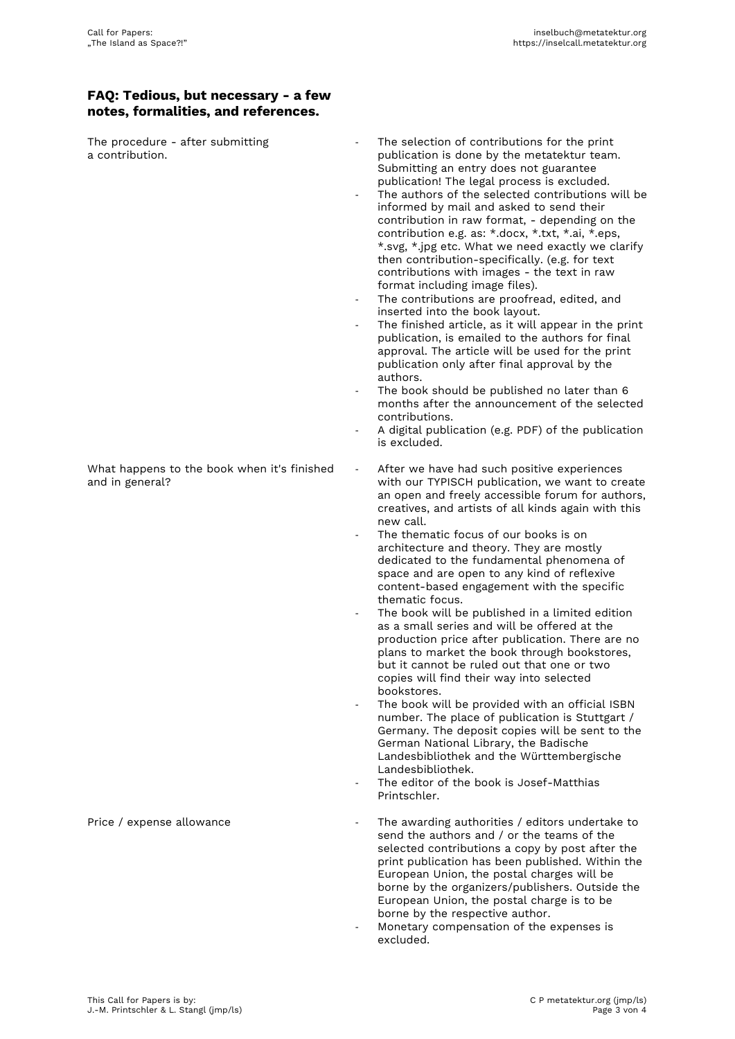## **FAQ: Tedious, but necessary - a few notes, formalities, and references.**

The procedure - after submitting a contribution.

What happens to the book when it's finished and in general?

- The selection of contributions for the print publication is done by the metatektur team. Submitting an entry does not guarantee publication! The legal process is excluded.
- The authors of the selected contributions will be informed by mail and asked to send their contribution in raw format, - depending on the contribution e.g. as: \*.docx, \*.txt, \*.ai, \*.eps, \*.svg, \*.jpg etc. What we need exactly we clarify then contribution-specifically. (e.g. for text contributions with images - the text in raw format including image files).
- The contributions are proofread, edited, and inserted into the book layout.
- The finished article, as it will appear in the print publication, is emailed to the authors for final approval. The article will be used for the print publication only after final approval by the authors.
- The book should be published no later than 6 months after the announcement of the selected contributions.
- A digital publication (e.g. PDF) of the publication is excluded.
- After we have had such positive experiences with our TYPISCH publication, we want to create an open and freely accessible forum for authors, creatives, and artists of all kinds again with this new call.
- The thematic focus of our books is on architecture and theory. They are mostly dedicated to the fundamental phenomena of space and are open to any kind of reflexive content-based engagement with the specific thematic focus.
- The book will be published in a limited edition as a small series and will be offered at the production price after publication. There are no plans to market the book through bookstores, but it cannot be ruled out that one or two copies will find their way into selected bookstores.
- The book will be provided with an official ISBN number. The place of publication is Stuttgart / Germany. The deposit copies will be sent to the German National Library, the Badische Landesbibliothek and the Württembergische Landesbibliothek.
- The editor of the book is Josef-Matthias Printschler.
- Price / expense allowance  $\qquad \qquad -$  The awarding authorities / editors undertake to send the authors and / or the teams of the selected contributions a copy by post after the print publication has been published. Within the European Union, the postal charges will be borne by the organizers/publishers. Outside the European Union, the postal charge is to be borne by the respective author.
	- Monetary compensation of the expenses is excluded.